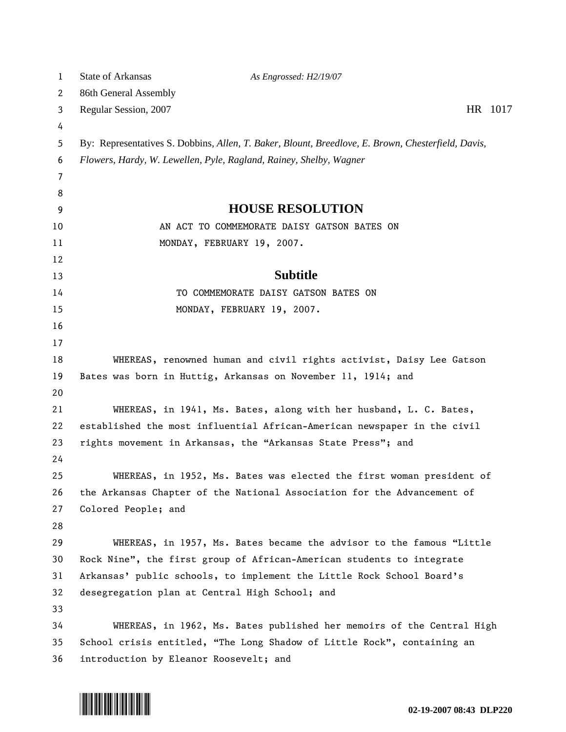| HR 1017                                                               |
|-----------------------------------------------------------------------|
|                                                                       |
|                                                                       |
|                                                                       |
|                                                                       |
|                                                                       |
|                                                                       |
|                                                                       |
|                                                                       |
|                                                                       |
|                                                                       |
|                                                                       |
|                                                                       |
|                                                                       |
|                                                                       |
|                                                                       |
|                                                                       |
|                                                                       |
|                                                                       |
|                                                                       |
|                                                                       |
|                                                                       |
| WHEREAS, in 1952, Ms. Bates was elected the first woman president of  |
|                                                                       |
|                                                                       |
|                                                                       |
|                                                                       |
|                                                                       |
|                                                                       |
|                                                                       |
| WHEREAS, in 1962, Ms. Bates published her memoirs of the Central High |
|                                                                       |
|                                                                       |
| WHEREAS, in 1957, Ms. Bates became the advisor to the famous "Little  |